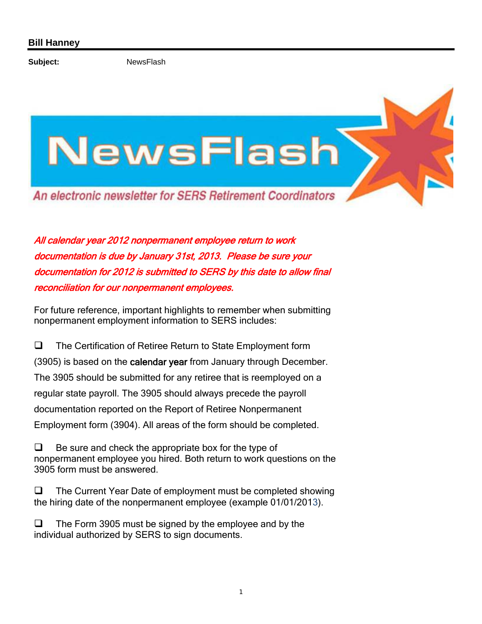Subject: NewsFlash

## NewsFlasł An electronic newsletter for SERS Retirement Coordinators

All calendar year 2012 nonpermanent employee return to work documentation is due by January 31st, 2013. Please be sure your documentation for 2012 is submitted to SERS by this date to allow final reconciliation for our nonpermanent employees.

For future reference, important highlights to remember when submitting nonpermanent employment information to SERS includes:

 $\Box$  The Certification of Retiree Return to State Employment form (3905) is based on the calendar year from January through December. The 3905 should be submitted for any retiree that is reemployed on a regular state payroll. The 3905 should always precede the payroll documentation reported on the Report of Retiree Nonpermanent Employment form (3904). All areas of the form should be completed.

 $\Box$  Be sure and check the appropriate box for the type of nonpermanent employee you hired. Both return to work questions on the 3905 form must be answered.

 $\Box$  The Current Year Date of employment must be completed showing the hiring date of the nonpermanent employee (example 01/01/2013).

 $\Box$  The Form 3905 must be signed by the employee and by the individual authorized by SERS to sign documents.